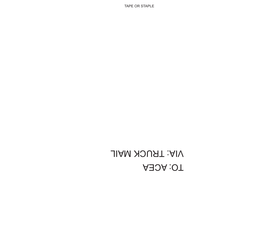## TO: ACEA VIA: TRUCK MAIL